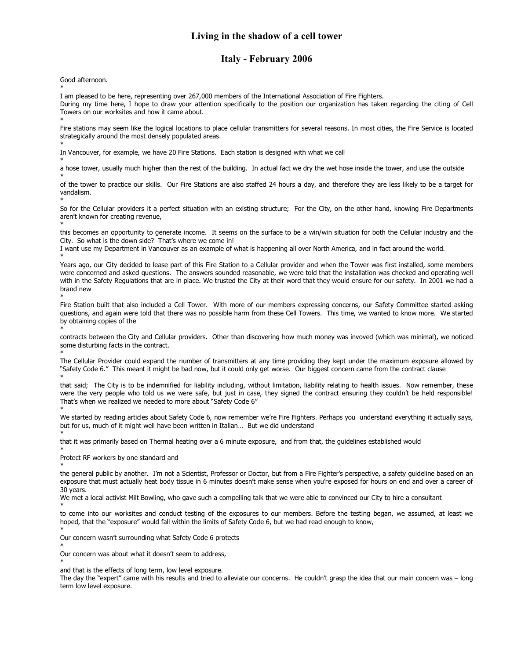## **Living in the shadow of a cell tower**

## **Italy - February 2006**

Good afternoon.

\*

I am pleased to be here, representing over 267,000 members of the International Association of Fire Fighters.

During my time here, I hope to draw your attention specifically to the position our organization has taken regarding the citing of Cell Towers on our worksites and how it came about.

\* Fire stations may seem like the logical locations to place cellular transmitters for several reasons. In most cities, the Fire Service is located strategically around the most densely populated areas.

\* In Vancouver, for example, we have 20 Fire Stations. Each station is designed with what we call

\* a hose tower, usually much higher than the rest of the building. In actual fact we dry the wet hose inside the tower, and use the outside \*

of the tower to practice our skills. Our Fire Stations are also staffed 24 hours a day, and therefore they are less likely to be a target for vandalism.

\* So for the Cellular providers it a perfect situation with an existing structure; For the City, on the other hand, knowing Fire Departments aren't known for creating revenue,

\* this becomes an opportunity to generate income. It seems on the surface to be a win/win situation for both the Cellular industry and the City. So what is the down side? That's where we come in!

I want use my Department in Vancouver as an example of what is happening all over North America, and in fact around the world.

\* Years ago, our City decided to lease part of this Fire Station to a Cellular provider and when the Tower was first installed, some members were concerned and asked questions. The answers sounded reasonable, we were told that the installation was checked and operating well with in the Safety Regulations that are in place. We trusted the City at their word that they would ensure for our safety. In 2001 we had a brand new

\* Fire Station built that also included a Cell Tower. With more of our members expressing concerns, our Safety Committee started asking questions, and again were told that there was no possible harm from these Cell Towers. This time, we wanted to know more. We started by obtaining copies of the

\* contracts between the City and Cellular providers. Other than discovering how much money was invoved (which was minimal), we noticed some disturbing facts in the contract.

\*

The Cellular Provider could expand the number of transmitters at any time providing they kept under the maximum exposure allowed by "Safety Code 6." This meant it might be bad now, but it could only get worse. Our biggest concern came from the contract clause

\* that said; The City is to be indemnified for liability including, without limitation, liability relating to health issues. Now remember, these were the very people who told us we were safe, but just in case, they signed the contract ensuring they couldn't be held responsible! That's when we realized we needed to more about "Safety Code 6" \*

We started by reading articles about Safety Code 6, now remember we're Fire Fighters. Perhaps you understand everything it actually says, but for us, much of it might well have been written in Italian… But we did understand

\* that it was primarily based on Thermal heating over a 6 minute exposure, and from that, the guidelines established would

\* Protect RF workers by one standard and

\* the general public by another. I'm not a Scientist, Professor or Doctor, but from a Fire Fighter's perspective, a safety guideline based on an exposure that must actually heat body tissue in 6 minutes doesn't make sense when you're exposed for hours on end and over a career of 30 years.

We met a local activist Milt Bowling, who gave such a compelling talk that we were able to convinced our City to hire a consultant

\* to come into our worksites and conduct testing of the exposures to our members. Before the testing began, we assumed, at least we hoped, that the "exposure" would fall within the limits of Safety Code 6, but we had read enough to know,

\* Our concern wasn't surrounding what Safety Code 6 protects

\* Our concern was about what it doesn't seem to address,

\* and that is the effects of long term, low level exposure.

The day the "expert" came with his results and tried to alleviate our concerns. He couldn't grasp the idea that our main concern was – long term low level exposure.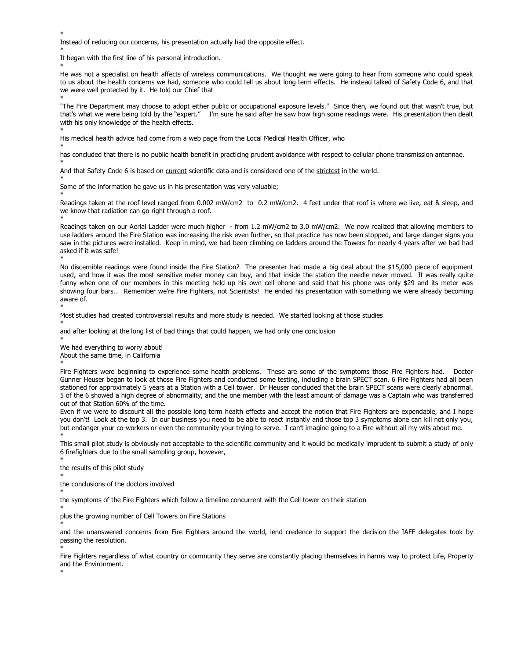\* \*

\*

\*

\*

\*

\*

\*

\*

\*

\*

Instead of reducing our concerns, his presentation actually had the opposite effect.

It began with the first line of his personal introduction.

\* He was not a specialist on health affects of wireless communications. We thought we were going to hear from someone who could speak to us about the health concerns we had, someone who could tell us about long term effects. He instead talked of Safety Code 6, and that we were well protected by it. He told our Chief that

\* "The Fire Department may choose to adopt either public or occupational exposure levels." Since then, we found out that wasn't true, but that's what we were being told by the "expert." I'm sure he said after he saw how high some readings were. His presentation then dealt with his only knowledge of the health effects.

His medical health advice had come from a web page from the Local Medical Health Officer, who

has concluded that there is no public health benefit in practicing prudent avoidance with respect to cellular phone transmission antennae.

And that Safety Code 6 is based on current scientific data and is considered one of the strictest in the world.

Some of the information he gave us in his presentation was very valuable;

Readings taken at the roof level ranged from 0.002 mW/cm2 to 0.2 mW/cm2. 4 feet under that roof is where we live, eat & sleep, and we know that radiation can go right through a roof.

Readings taken on our Aerial Ladder were much higher - from 1.2 mW/cm2 to 3.0 mW/cm2. We now realized that allowing members to use ladders around the Fire Station was increasing the risk even further, so that practice has now been stopped, and large danger signs you saw in the pictures were installed. Keep in mind, we had been climbing on ladders around the Towers for nearly 4 years after we had had asked if it was safe!

No discernible readings were found inside the Fire Station? The presenter had made a big deal about the \$15,000 piece of equipment used, and how it was the most sensitive meter money can buy, and that inside the station the needle never moved. It was really quite funny when one of our members in this meeting held up his own cell phone and said that his phone was only \$29 and its meter was showing four bars… Remember we're Fire Fighters, not Scientists! He ended his presentation with something we were already becoming aware of.

Most studies had created controversial results and more study is needed. We started looking at those studies \*

and after looking at the long list of bad things that could happen, we had only one conclusion

\* We had everything to worry about! About the same time, in California

Fire Fighters were beginning to experience some health problems. These are some of the symptoms those Fire Fighters had. Doctor Gunner Heuser began to look at those Fire Fighters and conducted some testing, including a brain SPECT scan. 6 Fire Fighters had all been stationed for approximately 5 years at a Station with a Cell tower. Dr Heuser concluded that the brain SPECT scans were clearly abnormal. 5 of the 6 showed a high degree of abnormality, and the one member with the least amount of damage was a Captain who was transferred out of that Station 60% of the time.

Even if we were to discount all the possible long term health effects and accept the notion that Fire Fighters are expendable, and I hope you don't! Look at the top 3. In our business you need to be able to react instantly and those top 3 symptoms alone can kill not only you, but endanger your co-workers or even the community your trying to serve. I can't imagine going to a Fire without all my wits about me. \*

This small pilot study is obviously not acceptable to the scientific community and it would be medically imprudent to submit a study of only 6 firefighters due to the small sampling group, however,

\* \*

\*

\*

\*

\*

the results of this pilot study

the conclusions of the doctors involved

the symptoms of the Fire Fighters which follow a timeline concurrent with the Cell tower on their station

plus the growing number of Cell Towers on Fire Stations

and the unanswered concerns from Fire Fighters around the world, lend credence to support the decision the IAFF delegates took by passing the resolution.

Fire Fighters regardless of what country or community they serve are constantly placing themselves in harms way to protect Life, Property and the Environment.

\*